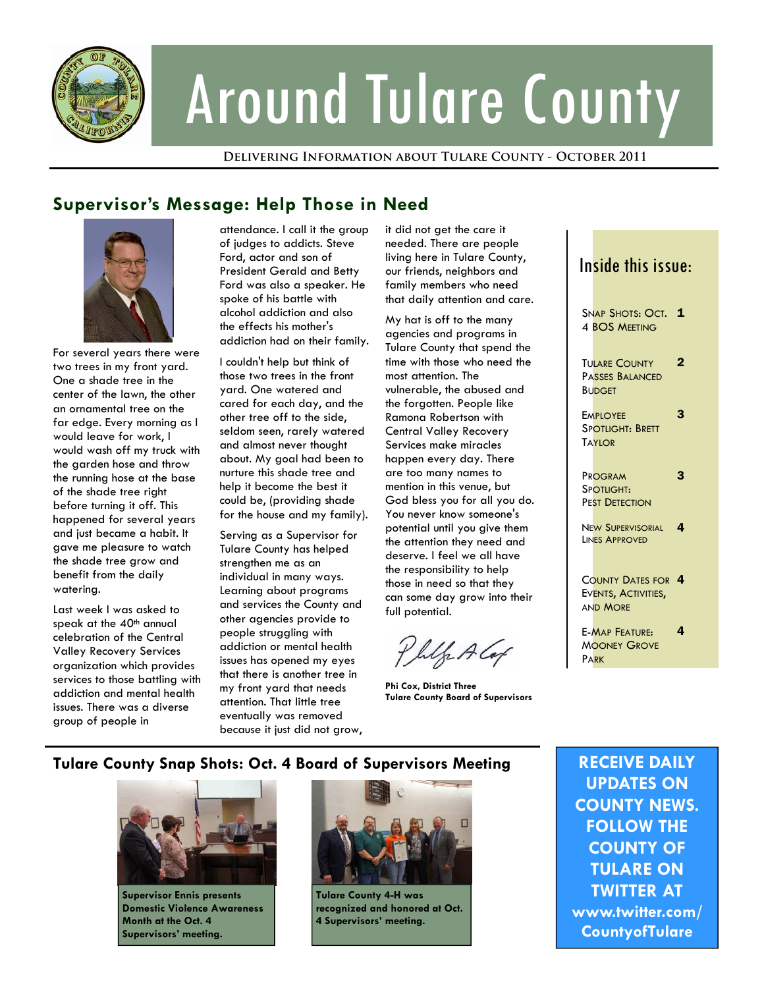

# Around Tulare County

**Delivering Information about Tulare County - October 2011** 

## **Supervisor's Message: Help Those in Need**



For several years there were two trees in my front yard. One a shade tree in the center of the lawn, the other an ornamental tree on the far edge. Every morning as I would leave for work, I would wash off my truck with the garden hose and throw the running hose at the base of the shade tree right before turning it off. This happened for several years and just became a habit. It gave me pleasure to watch the shade tree grow and benefit from the daily watering.

Last week I was asked to speak at the  $40<sup>th</sup>$  annual celebration of the Central Valley Recovery Services organization which provides services to those battling with addiction and mental health issues. There was a diverse group of people in

attendance. I call it the group of judges to addicts. Steve Ford, actor and son of President Gerald and Betty Ford was also a speaker. He spoke of his battle with alcohol addiction and also the effects his mother's addiction had on their family.

I couldn't help but think of those two trees in the front yard. One watered and cared for each day, and the other tree off to the side, seldom seen, rarely watered and almost never thought about. My goal had been to nurture this shade tree and help it become the best it could be, (providing shade for the house and my family).

Serving as a Supervisor for Tulare County has helped strengthen me as an individual in many ways. Learning about programs and services the County and other agencies provide to people struggling with addiction or mental health issues has opened my eyes that there is another tree in my front yard that needs attention. That little tree eventually was removed because it just did not grow,

it did not get the care it needed. There are people living here in Tulare County, our friends, neighbors and family members who need that daily attention and care.

My hat is off to the many agencies and programs in Tulare County that spend the time with those who need the most attention. The vulnerable, the abused and the forgotten. People like Ramona Robertson with Central Valley Recovery Services make miracles happen every day. There are too many names to mention in this venue, but God bless you for all you do. You never know someone's potential until you give them the attention they need and deserve. I feel we all have the responsibility to help those in need so that they can some day grow into their full potential.

Philo A Cap

**Phi Cox, District Three Tulare County Board of Supervisors** 

# Inside this issue:

| Snap Shots: Oct. $1$<br><b>4 BOS MEETING</b>                        |   |
|---------------------------------------------------------------------|---|
| <b>TULARE COUNTY</b><br><b>PASSES BALANCED</b><br><b>BUDGET</b>     | 2 |
| <b>EMPLOYEE</b><br><b>SPOTLIGHT: BRETT</b><br><b>TAYIOR</b>         | З |
| PROGRAM<br>SPOTLIGHT:<br>PEST DETECTION                             | З |
| <b>NEW SUPERVISORIAL</b><br>LINES APPROVED                          | 4 |
| <b>COUNTY DATES FOR 4</b><br>EVENTS, ACTIVITIES,<br><b>AND MORE</b> |   |
| <b>E-MAP FEATURE:</b><br><b>MOONEY GROVE</b><br><b>PARK</b>         | 4 |

#### **Tulare County Snap Shots: Oct. 4 Board of Supervisors Meeting**



**Supervisor Ennis presents Domestic Violence Awareness Month at the Oct. 4 Supervisors' meeting.** 



**Tulare County 4-H was recognized and honored at Oct. 4 Supervisors' meeting.** 

**RECEIVE DAILY UPDATES ON COUNTY NEWS. FOLLOW THE COUNTY OF TULARE ON TWITTER AT www.twitter.com/ CountyofTulare**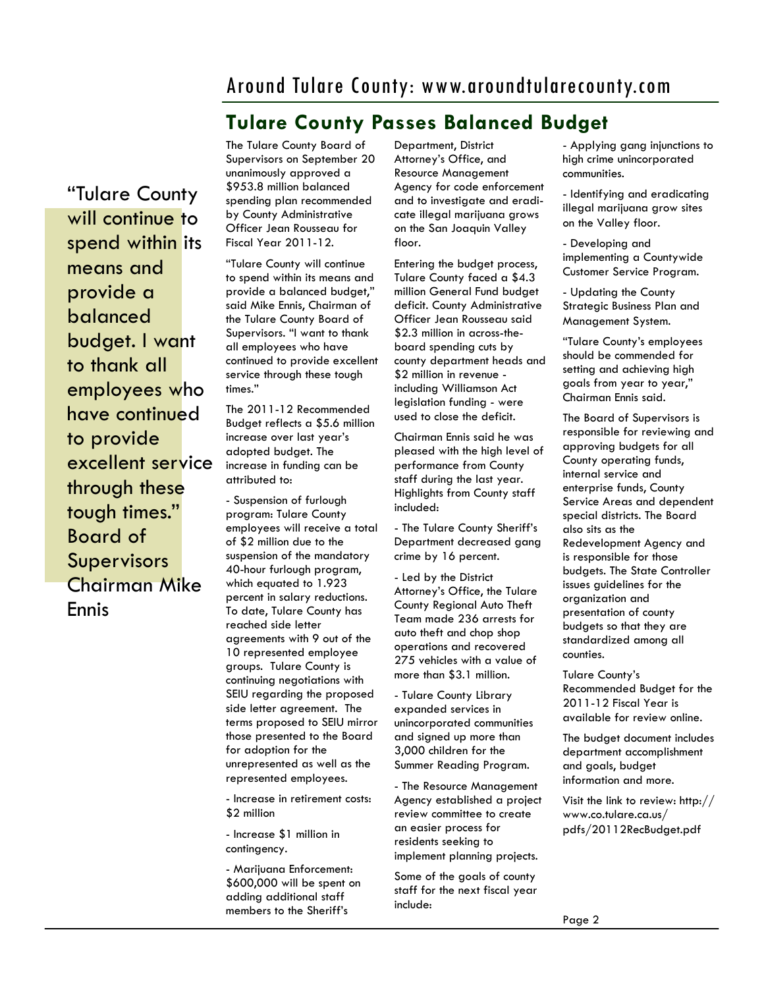## Around Tulare County: www.aroundtularecounty.com

### **Tulare County Passes Balanced Budget**

"Tulare County will continue to spend within its means and provide a balanced budget. I want to thank all employees who have continued to provide excellent service through these tough times." Board of Supervisors Chairman Mike Ennis

The Tulare County Board of Supervisors on September 20 unanimously approved a \$953.8 million balanced spending plan recommended by County Administrative Officer Jean Rousseau for Fiscal Year 2011-12.

"Tulare County will continue to spend within its means and provide a balanced budget," said Mike Ennis, Chairman of the Tulare County Board of Supervisors. "I want to thank all employees who have continued to provide excellent service through these tough times."

The 2011-12 Recommended Budget reflects a \$5.6 million increase over last year's adopted budget. The increase in funding can be attributed to:

- Suspension of furlough program: Tulare County employees will receive a total of \$2 million due to the suspension of the mandatory 40-hour furlough program, which equated to 1.923 percent in salary reductions. To date, Tulare County has reached side letter agreements with 9 out of the 10 represented employee groups. Tulare County is continuing negotiations with SEIU regarding the proposed side letter agreement. The terms proposed to SEIU mirror those presented to the Board for adoption for the unrepresented as well as the represented employees.

- Increase in retirement costs: \$2 million

- Increase \$1 million in contingency.

- Marijuana Enforcement: \$600,000 will be spent on adding additional staff members to the Sheriff's

Department, District Attorney's Office, and Resource Management Agency for code enforcement and to investigate and eradicate illegal marijuana grows on the San Joaquin Valley floor.

Entering the budget process, Tulare County faced a \$4.3 million General Fund budget deficit. County Administrative Officer Jean Rousseau said \$2.3 million in across-theboard spending cuts by county department heads and \$2 million in revenue including Williamson Act legislation funding - were used to close the deficit.

Chairman Ennis said he was pleased with the high level of performance from County staff during the last year. Highlights from County staff included:

- The Tulare County Sheriff's Department decreased gang crime by 16 percent.

- Led by the District Attorney's Office, the Tulare County Regional Auto Theft Team made 236 arrests for auto theft and chop shop operations and recovered 275 vehicles with a value of more than \$3.1 million.

- Tulare County Library expanded services in unincorporated communities and signed up more than 3,000 children for the Summer Reading Program.

- The Resource Management Agency established a project review committee to create an easier process for residents seeking to implement planning projects.

Some of the goals of county staff for the next fiscal year include:

- Applying gang injunctions to high crime unincorporated communities.

- Identifying and eradicating illegal marijuana grow sites on the Valley floor.

- Developing and implementing a Countywide Customer Service Program.

- Updating the County Strategic Business Plan and Management System.

"Tulare County's employees should be commended for setting and achieving high goals from year to year," Chairman Ennis said.

The Board of Supervisors is responsible for reviewing and approving budgets for all County operating funds, internal service and enterprise funds, County Service Areas and dependent special districts. The Board also sits as the Redevelopment Agency and is responsible for those budgets. The State Controller issues guidelines for the organization and presentation of county budgets so that they are standardized among all counties.

Tulare County's Recommended Budget for the 2011-12 Fiscal Year is available for review online.

The budget document includes department accomplishment and goals, budget information and more.

Visit the link to review: http:// www.co.tulare.ca.us/ pdfs/20112RecBudget.pdf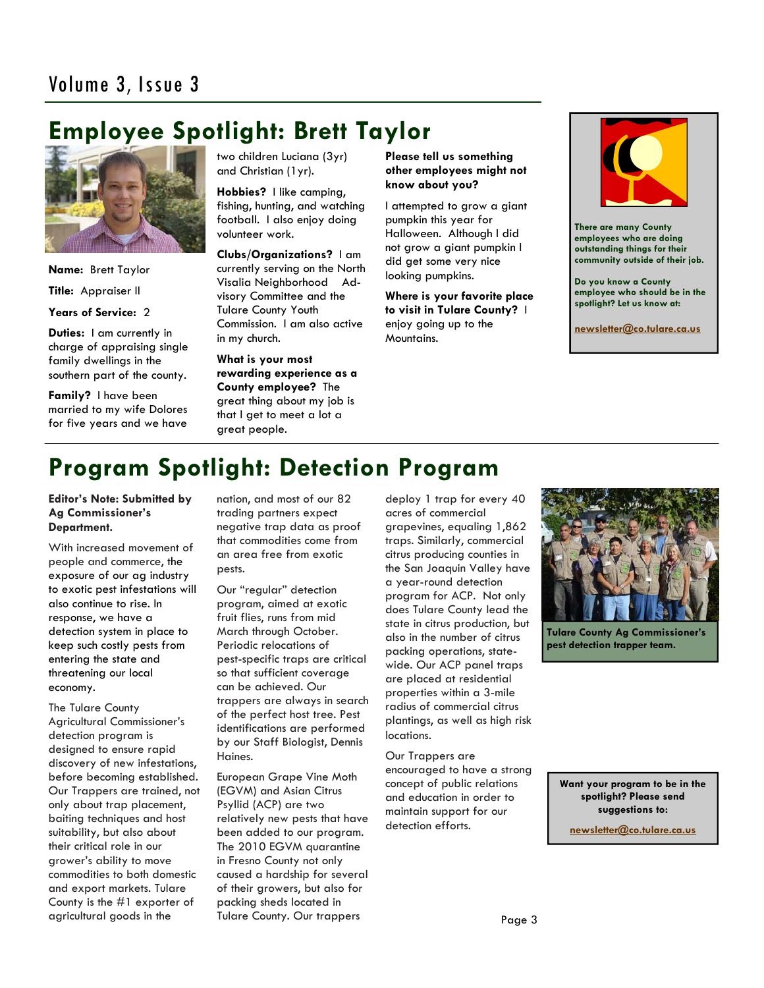# **Employee Spotlight: Brett Taylor**



**Name:** Brett Taylor **Title:** Appraiser II

#### **Years of Service:** 2

**Duties:** I am currently in charge of appraising single family dwellings in the southern part of the county.

**Family?** I have been married to my wife Dolores for five years and we have

two children Luciana (3yr) and Christian (1yr).

**Hobbies?** I like camping, fishing, hunting, and watching football. I also enjoy doing volunteer work.

**Clubs/Organizations?** I am currently serving on the North Visalia Neighborhood Advisory Committee and the Tulare County Youth Commission. I am also active in my church.

**What is your most rewarding experience as a County employee?** The great thing about my job is that I get to meet a lot a great people.

**Please tell us something other employees might not know about you?** 

I attempted to grow a giant pumpkin this year for Halloween. Although I did not grow a giant pumpkin I did get some very nice looking pumpkins.

**Where is your favorite place to visit in Tulare County?** I enjoy going up to the Mountains.



**There are many County employees who are doing outstanding things for their community outside of their job.** 

**Do you know a County employee who should be in the spotlight? Let us know at:** 

**newsletter@co.tulare.ca.us**

## **Program Spotlight: Detection Program**

**Editor's Note: Submitted by Ag Commissioner's Department.** 

With increased movement of people and commerce, the exposure of our ag industry to exotic pest infestations will also continue to rise. In response, we have a detection system in place to keep such costly pests from entering the state and threatening our local economy.

The Tulare County Agricultural Commissioner's detection program is designed to ensure rapid discovery of new infestations, before becoming established. Our Trappers are trained, not only about trap placement, baiting techniques and host suitability, but also about their critical role in our grower's ability to move commodities to both domestic and export markets. Tulare County is the #1 exporter of agricultural goods in the

nation, and most of our 82 trading partners expect negative trap data as proof that commodities come from an area free from exotic pests.

Our "regular" detection program, aimed at exotic fruit flies, runs from mid March through October. Periodic relocations of pest-specific traps are critical so that sufficient coverage can be achieved. Our trappers are always in search of the perfect host tree. Pest identifications are performed by our Staff Biologist, Dennis Haines.

European Grape Vine Moth (EGVM) and Asian Citrus Psyllid (ACP) are two relatively new pests that have been added to our program. The 2010 EGVM quarantine in Fresno County not only caused a hardship for several of their growers, but also for packing sheds located in Tulare County. Our trappers

deploy 1 trap for every 40 acres of commercial grapevines, equaling 1,862 traps. Similarly, commercial citrus producing counties in the San Joaquin Valley have a year-round detection program for ACP. Not only does Tulare County lead the state in citrus production, but also in the number of citrus packing operations, statewide. Our ACP panel traps are placed at residential properties within a 3-mile radius of commercial citrus plantings, as well as high risk locations.

Our Trappers are encouraged to have a strong concept of public relations and education in order to maintain support for our detection efforts.



**Tulare County Ag Commissioner's pest detection trapper team.** 

**Want your program to be in the spotlight? Please send suggestions to:** 

**newsletter@co.tulare.ca.us**